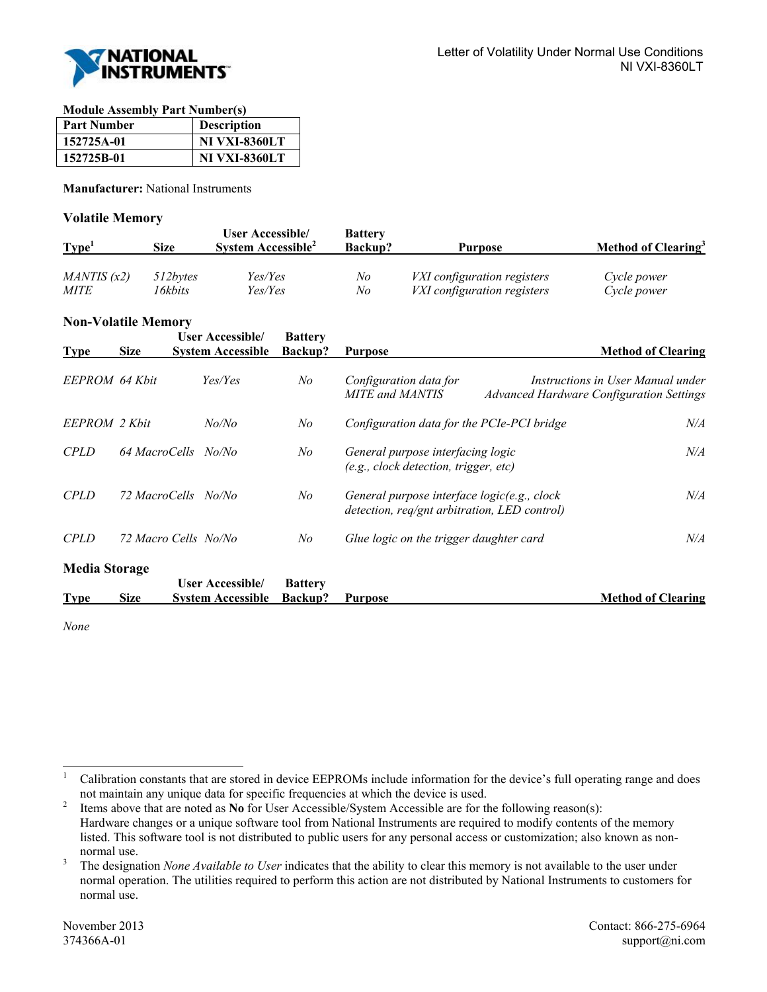

**Module Assembly Part Number(s)** 

| <b>Part Number</b> | <b>Description</b>   |
|--------------------|----------------------|
| 152725A-01         | <b>NI VXI-8360LT</b> |
| 152725B-01         | <b>NI VXI-8360LT</b> |

**Manufacturer:** National Instruments

## **Volatile Memory**

| Type <sup>1</sup> | <b>Size</b> | <b>User Accessible/</b><br>System Accessible <sup>2</sup> | <b>Battery</b><br><b>Backup?</b> | Purpose                            | Method of Clearing <sup>3</sup> |
|-------------------|-------------|-----------------------------------------------------------|----------------------------------|------------------------------------|---------------------------------|
| MANTIS(x2)        | 512bytes    | Yes/Yes                                                   | No                               | <i>VXI</i> configuration registers | Cycle power                     |
| <i>MITE</i>       | l 6kbits    | Yes/Yes                                                   | No                               | VXI configuration registers        | Cycle power                     |

## **Non-Volatile Memory**

| <b>Type</b>          | <b>Size</b> | <b>User Accessible</b><br><b>System Accessible</b> | <b>Battery</b><br><b>Backup?</b> | <b>Purpose</b>                                                                              | <b>Method of Clearing</b>                                                            |  |
|----------------------|-------------|----------------------------------------------------|----------------------------------|---------------------------------------------------------------------------------------------|--------------------------------------------------------------------------------------|--|
| EEPROM 64 Khit       |             | Yes/Yes                                            | No                               | Configuration data for<br><b>MITE</b> and <b>MANTIS</b>                                     | Instructions in User Manual under<br><b>Advanced Hardware Configuration Settings</b> |  |
| EEPROM 2 Khit        |             | No/No                                              | No                               | Configuration data for the PCIe-PCI bridge                                                  | $N\!/\!A$                                                                            |  |
| <b>CPLD</b>          |             | 64 MacroCells No/No                                | No                               | General purpose interfacing logic<br>(e.g., clock detection, trigger, etc)                  | $N\!/\!A$                                                                            |  |
| <b>CPLD</b>          |             | 72 MacroCells No/No                                | No                               | General purpose interface logic(e.g., clock<br>detection, req/gnt arbitration, LED control) | $N\!/\!A$                                                                            |  |
| <b>CPLD</b>          |             | 72 Macro Cells No/No                               | No                               | Glue logic on the trigger daughter card                                                     | $N\!/\!A$                                                                            |  |
| <b>Media Storage</b> |             |                                                    |                                  |                                                                                             |                                                                                      |  |
| <b>Type</b>          | <b>Size</b> | <b>User Accessible</b><br><b>System Accessible</b> | <b>Battery</b><br><b>Backup?</b> | <b>Purpose</b>                                                                              | <b>Method of Clearing</b>                                                            |  |

*None*

<sup>|&</sup>lt;br>|<br>| Calibration constants that are stored in device EEPROMs include information for the device's full operating range and does not maintain any unique data for specific frequencies at which the device is used.<br><sup>2</sup> Items above that are noted as No for User Accessible/System Accessible are for the

Items above that are noted as **No** for User Accessible/System Accessible are for the following reason(s): Hardware changes or a unique software tool from National Instruments are required to modify contents of the memory listed. This software tool is not distributed to public users for any personal access or customization; also known as non- $\frac{1}{3}$  normal use.

The designation *None Available to User* indicates that the ability to clear this memory is not available to the user under normal operation. The utilities required to perform this action are not distributed by National Instruments to customers for normal use.